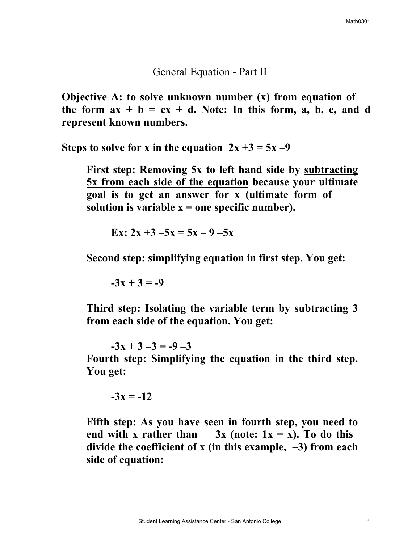General Equation - Part II

**Objective A: to solve unknown number (x) from equation of the form**  $ax + b = cx + d$ **. Note: In this form, a, b, c, and d represent known numbers.** 

**Steps to solve for x in the equation**  $2x + 3 = 5x - 9$ 

**First step: Removing 5x to left hand side by subtracting 5x from each side of the equation because your ultimate goal is to get an answer for x (ultimate form of**  solution is variable  $x =$  one specific number).

**Ex:**  $2x + 3 - 5x = 5x - 9 - 5x$ 

**Second step: simplifying equation in first step. You get:** 

 $-3x + 3 = -9$ 

**Third step: Isolating the variable term by subtracting 3 from each side of the equation. You get:** 

 $-3x + 3 - 3 = -9 - 3$ 

**Fourth step: Simplifying the equation in the third step. You get:** 

$$
-3x = -12
$$

**Fifth step: As you have seen in fourth step, you need to**  end with **x** rather than  $-3x$  (note:  $1x = x$ ). To do this **divide the coefficient of x (in this example, –3) from each side of equation:**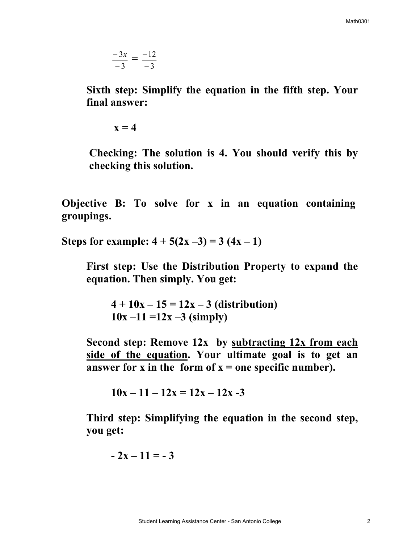$$
\frac{-3x}{-3} = \frac{-12}{-3}
$$

**Sixth step: Simplify the equation in the fifth step. Your final answer:** 

 $\mathbf{x} = 4$ 

**Checking: The solution is 4. You should verify this by checking this solution.** 

**Objective B: To solve for x in an equation containing groupings.** 

**Steps for example:**  $4 + 5(2x - 3) = 3(4x - 1)$ 

**First step: Use the Distribution Property to expand the equation. Then simply. You get:** 

 $4 + 10x - 15 = 12x - 3$  (distribution)  $10x - 11 = 12x - 3$  (simply)

**Second step: Remove 12x by subtracting 12x from each side of the equation. Your ultimate goal is to get an**  answer for x in the form of  $x =$  one specific number).

 $10x - 11 - 12x = 12x - 12x - 3$ 

**Third step: Simplifying the equation in the second step, you get:** 

$$
-2x-11=-3
$$